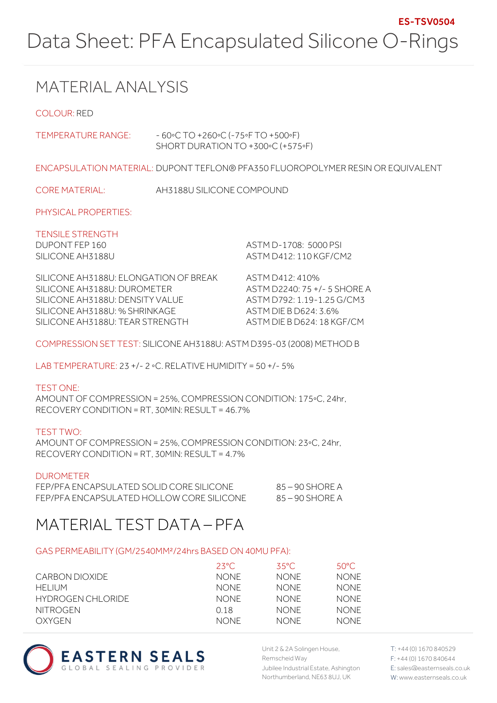## MATERIAL ANALYSIS

COLOUR: RED

| TEMPERATURE RANGE:                                                                                                                                                          | $-60°C$ TO +260 $°C$ (-75 $\circ$ F TO +500 $\circ$ F)<br>SHORT DURATION TO +300°C (+575°F) |                                                                                                                                      |  |
|-----------------------------------------------------------------------------------------------------------------------------------------------------------------------------|---------------------------------------------------------------------------------------------|--------------------------------------------------------------------------------------------------------------------------------------|--|
|                                                                                                                                                                             |                                                                                             | ENCAPSULATION MATERIAL: DUPONT TEFLON® PFA350 FLUOROPOLYMER RESIN OR EQUIVALENT                                                      |  |
| <b>CORE MATERIAL:</b>                                                                                                                                                       | AH3188U SILICONE COMPOUND                                                                   |                                                                                                                                      |  |
| PHYSICAL PROPERTIES:                                                                                                                                                        |                                                                                             |                                                                                                                                      |  |
| <b>TENSILE STRENGTH</b><br>DUPONT FEP 160<br>SILICONE AH3188U                                                                                                               |                                                                                             | ASTM D-1708 5000 PSI<br>ASTM D412: 110 KGF/CM2                                                                                       |  |
| SILICONE AH3188U: ELONGATION OF BREAK<br>SILICONE AH3188U: DUROMETER<br>SILICONE AH3188U: DENSITY VALUE<br>SILICONE AH3188U: % SHRINKAGE<br>SILICONE AH3188U: TEAR STRENGTH |                                                                                             | ASTM D412: 410%<br>ASTM D2240: 75 +/- 5 SHORE A<br>ASTM D792: 1 19-1 25 G/CM3<br>ASTM DIE B D624: 3.6%<br>ASTM DIE B D624: 18 KGF/CM |  |
| COMPRESSION SET TEST: SILICONE AH3188U: ASTM D395-03 (2008) METHOD B                                                                                                        |                                                                                             |                                                                                                                                      |  |
| LAB TEMPERATURE: 23 +/- 2 $\circ$ C, RELATIVE HUMIDITY = 50 +/- 5%                                                                                                          |                                                                                             |                                                                                                                                      |  |
| <b>TEST ONE:</b><br>AMOUNT OF COMPRESSION = 25%, COMPRESSION CONDITION: 175°C, 24hr,                                                                                        |                                                                                             |                                                                                                                                      |  |

AMOUNT OF COMPRESSION = 25%, COMPRESSION CONDITION: 175◦C, 24hr, RECOVERY CONDITION = RT, 30MIN: RESULT = 46.7%

| TEST TWO:                                                       |
|-----------------------------------------------------------------|
| AMOUNT OF COMPRESSION = 25%, COMPRESSION CONDITION: 23°C, 24hr, |
| $RECOVERY$ CONDITION = RT, 30MIN; $RESULT = 4.7\%$              |

#### DUROMETER

| FEP/PFA ENCAPSULATED SOLID CORE SILICONE  | - 85 – 90 SHORF A |
|-------------------------------------------|-------------------|
| FEP/PFA ENCAPSULATED HOLLOW CORE SILICONE | - 85 – 90 SHORE A |

## MATERIAL TEST DATA – PFA

#### GAS PERMEABILITY (GM/2540MM²/24hrs BASED ON 40MU PFA):

|                   | $23^{\circ}$ C | 35°C.       | 50°C.       |
|-------------------|----------------|-------------|-------------|
| CARBON DIOXIDE    | NONF           | <b>NONE</b> | <b>NONE</b> |
| HFI IUM           | NONF.          | <b>NONE</b> | <b>NONE</b> |
| HYDROGEN CHLORIDE | <b>NONE</b>    | <b>NONE</b> | <b>NONE</b> |
| <b>NITROGEN</b>   | O 18           | <b>NONE</b> | <b>NONE</b> |
| OXYGEN            | NONF.          | <b>NONE</b> | NONF.       |



Unit 2 & 2A Solingen House, Remscheid Way Jubilee Industrial Estate, Ashington Northumberland, NE63 8UJ, UK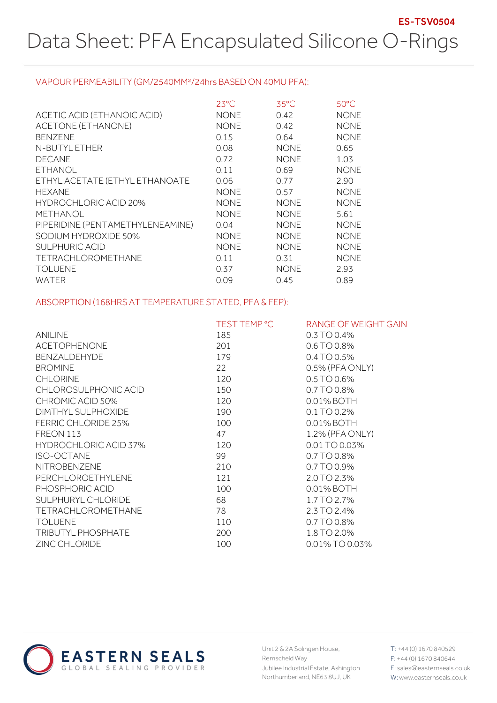#### VAPOUR PERMEABILITY (GM/2540MM²/24hrs BASED ON 40MU PFA):

|                                  | $23^{\circ}$ C | $35^{\circ}$ C | 50°C        |
|----------------------------------|----------------|----------------|-------------|
| ACETIC ACID (ETHANOIC ACID)      | <b>NONE</b>    | 0.42           | <b>NONE</b> |
| ACETONE (ETHANONE)               | <b>NONE</b>    | 0.42           | <b>NONE</b> |
| <b>BENZENE</b>                   | 0.15           | 0.64           | <b>NONE</b> |
| N-BUTYL ETHER                    | 0.08           | <b>NONE</b>    | 0.65        |
| <b>DECANE</b>                    | 0.72           | <b>NONE</b>    | 1.03        |
| <b>ETHANOL</b>                   | 0.11           | 0.69           | <b>NONE</b> |
| ETHYL ACETATE (ETHYL ETHANOATE   | 0.06           | 0.77           | 2.90        |
| <b>HFXANF</b>                    | <b>NONE</b>    | 0.57           | <b>NONE</b> |
| HYDROCHLORIC ACID 20%            | <b>NONE</b>    | <b>NONE</b>    | <b>NONE</b> |
| METHANOL                         | <b>NONE</b>    | <b>NONE</b>    | 5.61        |
| PIPERIDINE (PENTAMETHYLENEAMINE) | 0.04           | <b>NONE</b>    | <b>NONE</b> |
| SODIUM HYDROXIDE 50%             | <b>NONE</b>    | <b>NONE</b>    | <b>NONE</b> |
| <b>SULPHURIC ACID</b>            | <b>NONE</b>    | <b>NONE</b>    | <b>NONE</b> |
| <b>TETRACHLOROMETHANE</b>        | 0.11           | 0.31           | <b>NONE</b> |
| <b>TOLUENE</b>                   | 0.37           | <b>NONE</b>    | 2.93        |
| WATER                            | 0.09           | 0.45           | 0.89        |

#### ABSORPTION (168HRS AT TEMPERATURE STATED, PFA & FEP):

|                              | TEST TEMP °C | RANGE OF WEIGHT GAIN |
|------------------------------|--------------|----------------------|
| <b>ANILINE</b>               | 185          | $0.3$ TO 0.4%        |
| <b>ACETOPHENONE</b>          | 201          | 0.6 TO 0.8%          |
| <b>BENZALDEHYDE</b>          | 179          | 0.4 TO 0.5%          |
| <b>BROMINE</b>               | 22           | 0.5% (PFA ONLY)      |
| <b>CHLORINE</b>              | 120          | 0.5 TO 0.6%          |
| CHLOROSULPHONIC ACID         | 150          | 0.7 TO 0.8%          |
| CHROMIC ACID 50%             | 120          | 0.01% BOTH           |
| DIMTHYL SULPHOXIDE           | 190          | 0.1 TO 0.2%          |
| <b>FERRIC CHLORIDE 25%</b>   | 100          | 0.01% BOTH           |
| FREON 113                    | 47           | 1.2% (PFA ONLY)      |
| <b>HYDROCHLORIC ACID 37%</b> | 120          | 0.01 TO 0.03%        |
| <b>ISO-OCTANE</b>            | 99           | 0.7 TO 0.8%          |
| <b>NITROBENZENE</b>          | 210          | 0.7 TO 0.9%          |
| <b>PERCHLOROETHYLENE</b>     | 121          | 2.0 TO 2.3%          |
| PHOSPHORIC ACID              | 100          | 0.01% BOTH           |
| SULPHURYL CHLORIDE           | 68           | 1.7 TO 2.7%          |
| TETRACHLOROMETHANE           | 78           | 2.3 TO 2.4%          |
| <b>TOLUENE</b>               | 110          | 0.7 TO 0.8%          |
| <b>TRIBUTYL PHOSPHATE</b>    | 200          | 1.8 TO 2.0%          |
| <b>ZINC CHLORIDE</b>         | 100          | 0.01% TO 0.03%       |



Unit 2 & 2A Solingen House, Remscheid Way Jubilee Industrial Estate, Ashington Northumberland, NE63 8UJ, UK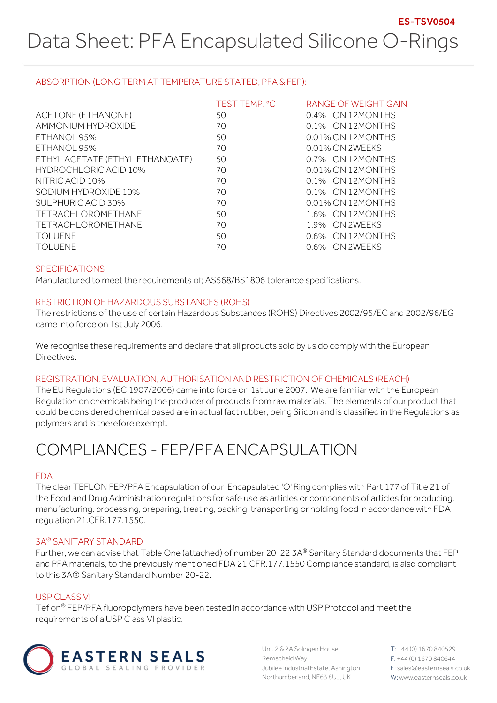#### ABSORPTION (LONG TERM AT TEMPERATURE STATED, PFA & FEP):

|                                 | TEST TEMP. °C | RANGE OF WEIGHT GAIN |
|---------------------------------|---------------|----------------------|
| ACETONE (ETHANONE)              | 50            | 0.4% ON 12MONTHS     |
| AMMONIUM HYDROXIDE              | 70            | 0.1% ON 12MONTHS     |
| ETHANOL 95%                     | 50            | 0.01% ON 12MONTHS    |
| ETHANOL 95%                     | 70            | 0.01% ON 2WEEKS      |
| ETHYL ACETATE (ETHYL ETHANOATE) | 50            | 0.7% ON 12MONTHS     |
| <b>HYDROCHLORIC ACID 10%</b>    | 70            | 0.01% ON 12MONTHS    |
| NITRIC ACID 10%                 | 70            | 0.1% ON 12MONTHS     |
| SODIUM HYDROXIDE 10%            | 70            | 0.1% ON 12MONTHS     |
| SULPHURIC ACID 30%              | 70            | 0.01% ON 12MONTHS    |
| <b>TETRACHLOROMETHANE</b>       | 50            | 1.6% ON 12MONTHS     |
| <b>TETRACHLOROMETHANE</b>       | 70            | 1.9% ON 2WEEKS       |
| <b>TOLUENE</b>                  | 50            | 0.6% ON 12MONTHS     |
| TOI UFNF                        | 70            | 0.6% ON 2WFFKS       |

#### SPECIFICATIONS

Manufactured to meet the requirements of; AS568/BS1806 tolerance specifications.

#### RESTRICTION OF HAZARDOUS SUBSTANCES (ROHS)

The restrictions of the use of certain Hazardous Substances (ROHS) Directives 2002/95/EC and 2002/96/EG came into force on 1st July 2006.

We recognise these requirements and declare that all products sold by us do comply with the European Directives.

#### REGISTRATION, EVALUATION, AUTHORISATION AND RESTRICTION OF CHEMICALS (REACH)

The EU Regulations (EC 1907/2006) came into force on 1st June 2007. We are familiar with the European Regulation on chemicals being the producer of products from raw materials. The elements of our product that could be considered chemical based are in actual fact rubber, being Silicon and is classified in the Regulations as polymers and is therefore exempt.

# COMPLIANCES - FEP/PFA ENCAPSULATION

#### FDA

The clear TEFLON FEP/PFA Encapsulation of our Encapsulated 'O' Ring complies with Part 177 of Title 21 of the Food and Drug Administration regulations for safe use as articles or components of articles for producing, manufacturing, processing, preparing, treating, packing, transporting or holding food in accordance with FDA regulation 21.CFR.177.1550.

#### 3A® SANITARY STANDARD

Further, we can advise that Table One (attached) of number 20-22 3A® Sanitary Standard documents that FEP and PFA materials, to the previously mentioned FDA 21.CFR.177.1550 Compliance standard, is also compliant to this 3A® Sanitary Standard Number 20-22.

#### USP CLASS VI

Teflon® FEP/PFA fluoropolymers have been tested in accordance with USP Protocol and meet the requirements of a USP Class VI plastic.



Unit 2 & 2A Solingen House, Remscheid Way Jubilee Industrial Estate, Ashington Northumberland, NE63 8UJ, UK